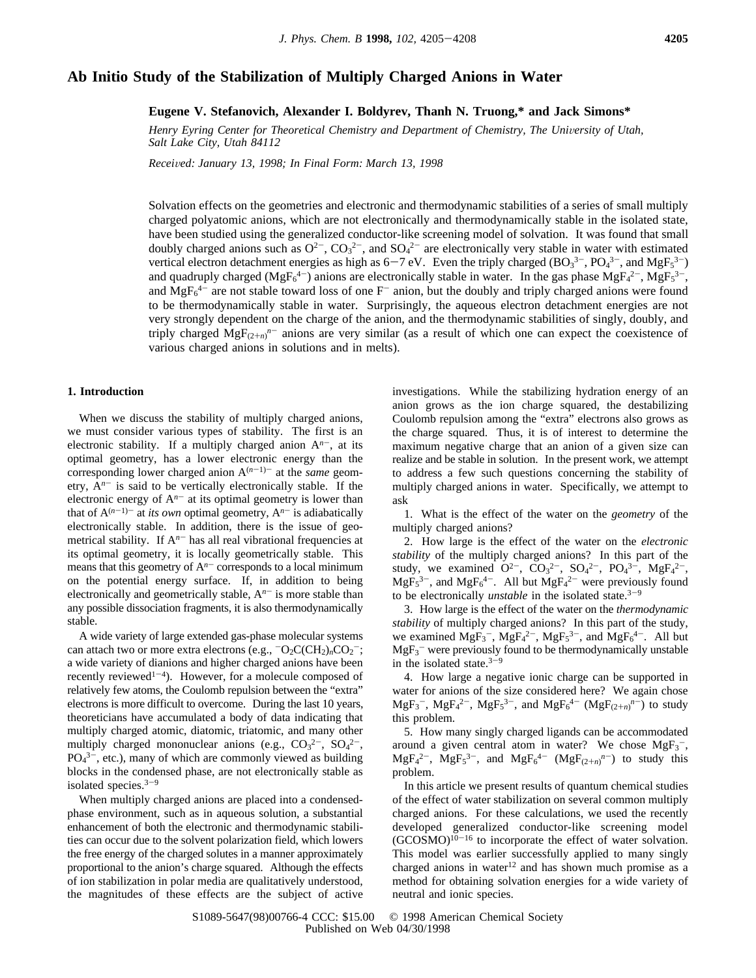# **Ab Initio Study of the Stabilization of Multiply Charged Anions in Water**

**Eugene V. Stefanovich, Alexander I. Boldyrev, Thanh N. Truong,\* and Jack Simons\***

*Henry Eyring Center for Theoretical Chemistry and Department of Chemistry, The University of Utah, Salt Lake City, Utah 84112*

*Recei*V*ed: January 13, 1998; In Final Form: March 13, 1998*

Solvation effects on the geometries and electronic and thermodynamic stabilities of a series of small multiply charged polyatomic anions, which are not electronically and thermodynamically stable in the isolated state, have been studied using the generalized conductor-like screening model of solvation. It was found that small doubly charged anions such as  $O^{2-}$ ,  $CO_3^{2-}$ , and  $SO_4^{2-}$  are electronically very stable in water with estimated vertical electron detachment energies as high as  $6-7$  eV. Even the triply charged  $(BO_3^{3-}$ ,  $PO_4^{3-}$ , and  $MgF_5^{3-}$ )<br>and quadruply charged ( $MgF_4^{3-}$ ) anions are electronically stable in water. In the gas phase  $M$ and quadruply charged (MgF<sub>6</sub><sup>4-</sup>) anions are electronically stable in water. In the gas phase MgF<sub>4</sub><sup>2-</sup>, MgF<sub>5</sub><sup>3-</sup>, and  $MgF<sub>6</sub><sup>4-</sup>$  are not stable toward loss of one F<sup>-</sup> anion, but the doubly and triply charged anions were found to be thermodynamically stable in water. Surprisingly, the aqueous electron detachment energies are not very strongly dependent on the charge of the anion, and the thermodynamic stabilities of singly, doubly, and triply charged  $MgF_{(2+n)}^n$ <sup>n-</sup> anions are very similar (as a result of which one can expect the coexistence of various charged anions in solutions and in melts).

#### **1. Introduction**

When we discuss the stability of multiply charged anions, we must consider various types of stability. The first is an electronic stability. If a multiply charged anion  $A<sup>n-</sup>$ , at its optimal geometry, has a lower electronic energy than the corresponding lower charged anion  $A^{(n-1)-}$  at the *same* geometry,  $A^{n-}$  is said to be vertically electronically stable. If the electronic energy of  $A^{n-}$  at its optimal geometry is lower than that of  $A^{(n-1)-}$  at *its own* optimal geometry,  $A^{n-}$  is adiabatically electronically stable. In addition, there is the issue of geometrical stability. If  $A<sup>n-</sup>$  has all real vibrational frequencies at its optimal geometry, it is locally geometrically stable. This means that this geometry of  $A<sup>n-</sup>$  corresponds to a local minimum on the potential energy surface. If, in addition to being electronically and geometrically stable,  $A<sup>n-</sup>$  is more stable than any possible dissociation fragments, it is also thermodynamically stable.

A wide variety of large extended gas-phase molecular systems can attach two or more extra electrons (e.g.,  $\neg$ O<sub>2</sub>C(CH<sub>2</sub>)<sub>n</sub>CO<sub>2</sub><sup>-</sup>; a wide variety of dianions and higher charged anions have been recently reviewed<sup>1-4</sup>). However, for a molecule composed of relatively few atoms, the Coulomb repulsion between the "extra" electrons is more difficult to overcome. During the last 10 years, theoreticians have accumulated a body of data indicating that multiply charged atomic, diatomic, triatomic, and many other multiply charged mononuclear anions (e.g.,  $CO_3^2$ <sup>-</sup>,  $SO_4^2$ <sup>-</sup>,  $PO<sub>4</sub><sup>3-</sup>, etc.), many of which are commonly viewed as building$ blocks in the condensed phase, are not electronically stable as isolated species. $3-9$ 

When multiply charged anions are placed into a condensedphase environment, such as in aqueous solution, a substantial enhancement of both the electronic and thermodynamic stabilities can occur due to the solvent polarization field, which lowers the free energy of the charged solutes in a manner approximately proportional to the anion's charge squared. Although the effects of ion stabilization in polar media are qualitatively understood, the magnitudes of these effects are the subject of active investigations. While the stabilizing hydration energy of an anion grows as the ion charge squared, the destabilizing Coulomb repulsion among the "extra" electrons also grows as the charge squared. Thus, it is of interest to determine the maximum negative charge that an anion of a given size can realize and be stable in solution. In the present work, we attempt to address a few such questions concerning the stability of multiply charged anions in water. Specifically, we attempt to ask

1. What is the effect of the water on the *geometry* of the multiply charged anions?

2. How large is the effect of the water on the *electronic stability* of the multiply charged anions? In this part of the study, we examined  $Q^{2-}$ ,  $CO_3^{2-}$ ,  $SO_4^{2-}$ ,  $PO_4^{3-}$ ,  $MgF_4^{2-}$ ,  $MgF_5^{3-}$ , and  $MgF_6^{4-}$ . All but  $MgF_4^{2-}$  were previously found to be electronically *unstable* in the isolated state.<sup>3-9</sup>

3. How large is the effect of the water on the *thermodynamic stability* of multiply charged anions? In this part of the study, we examined  $MgF_3^-$ ,  $MgF_4^{2-}$ ,  $MgF_5^{3-}$ , and  $MgF_6^{4-}$ . All but  $MgF_3$ <sup>-</sup> were previously found to be thermodynamically unstable in the isolated state. $3-9$ 

4. How large a negative ionic charge can be supported in water for anions of the size considered here? We again chose  $MgF_3^-$ ,  $MgF_4^{2-}$ ,  $MgF_5^{3-}$ , and  $MgF_6^{4-}$   $(MgF_{(2+n)}^{n-})$  to study this problem.

5. How many singly charged ligands can be accommodated around a given central atom in water? We chose  $MgF_3^-$ ,  $MgF_4^{2-}$ ,  $MgF_5^{3-}$ , and  $MgF_6^{4-}$  ( $MgF_{(2+n)}^{n-}$ ) to study this problem.

In this article we present results of quantum chemical studies of the effect of water stabilization on several common multiply charged anions. For these calculations, we used the recently developed generalized conductor-like screening model  $(GCOSMO)^{10-16}$  to incorporate the effect of water solvation. This model was earlier successfully applied to many singly charged anions in water $12$  and has shown much promise as a method for obtaining solvation energies for a wide variety of neutral and ionic species.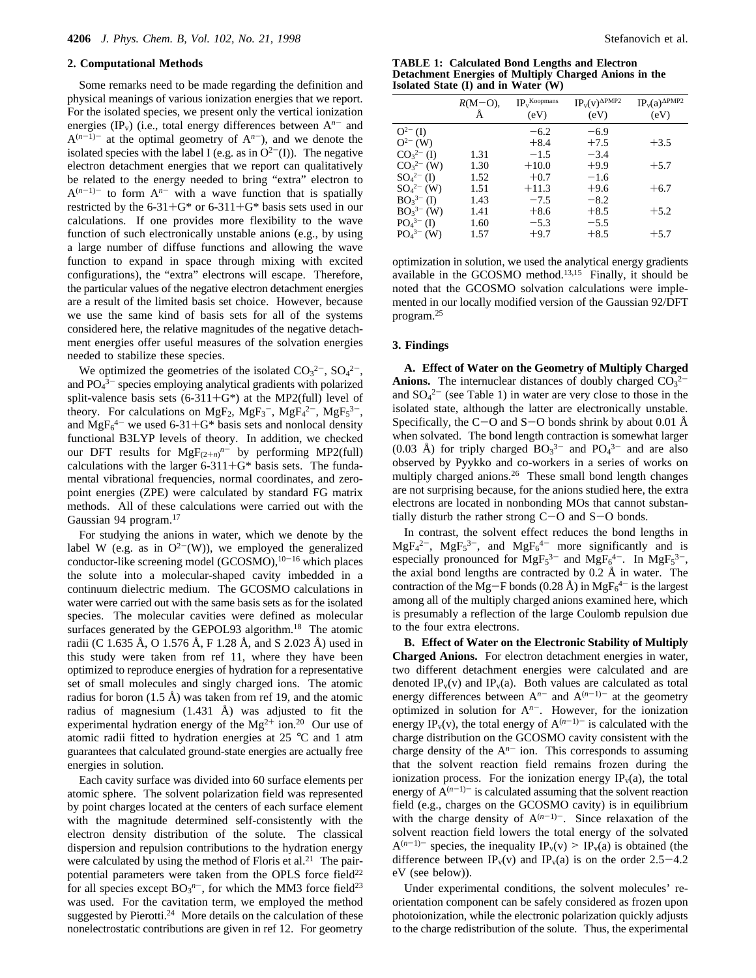### **2. Computational Methods**

Some remarks need to be made regarding the definition and physical meanings of various ionization energies that we report. For the isolated species, we present only the vertical ionization energies (IP<sub>v</sub>) (i.e., total energy differences between  $A^{n-}$  and  $A^{(n-1)-}$  at the optimal geometry of  $A^{n-}$ ), and we denote the isolated species with the label I (e.g. as in  $O^{2-}(I)$ ). The negative electron detachment energies that we report can qualitatively be related to the energy needed to bring "extra" electron to  $A^{(n-1)-}$  to form  $A^{n-}$  with a wave function that is spatially restricted by the  $6-31+G^*$  or  $6-311+G^*$  basis sets used in our calculations. If one provides more flexibility to the wave function of such electronically unstable anions (e.g., by using a large number of diffuse functions and allowing the wave function to expand in space through mixing with excited configurations), the "extra" electrons will escape. Therefore, the particular values of the negative electron detachment energies are a result of the limited basis set choice. However, because we use the same kind of basis sets for all of the systems considered here, the relative magnitudes of the negative detachment energies offer useful measures of the solvation energies needed to stabilize these species.

We optimized the geometries of the isolated  $CO<sub>3</sub><sup>2</sup>$ ,  $SO<sub>4</sub><sup>2</sup>$ , and  $PO<sub>4</sub><sup>3-</sup>$  species employing analytical gradients with polarized split-valence basis sets  $(6-311+G^*)$  at the MP2(full) level of theory. For calculations on MgF<sub>2</sub>, MgF<sub>3</sub><sup>-</sup>, MgF<sub>3</sub><sup>2-</sup>, MgF<sub>5</sub><sup>3-</sup>, and  $MgF_6^{4-}$  we used 6-31+G\* basis sets and nonlocal density<br>functional B3I YP levels of theory. In addition, we checked functional B3LYP levels of theory. In addition, we checked our DFT results for  $MgF_{(2+n)}^n$  by performing MP2(full)<br>coloulations with the larger 6.211+C\* begin gets. The funda calculations with the larger  $6-311+G^*$  basis sets. The fundamental vibrational frequencies, normal coordinates, and zeropoint energies (ZPE) were calculated by standard FG matrix methods. All of these calculations were carried out with the Gaussian 94 program.<sup>17</sup>

For studying the anions in water, which we denote by the label W (e.g. as in  $O^{2-}(W)$ ), we employed the generalized conductor-like screening model (GCOSMO), $10-16$  which places the solute into a molecular-shaped cavity imbedded in a continuum dielectric medium. The GCOSMO calculations in water were carried out with the same basis sets as for the isolated species. The molecular cavities were defined as molecular surfaces generated by the GEPOL93 algorithm.<sup>18</sup> The atomic radii (C 1.635 Å, O 1.576 Å, F 1.28 Å, and S 2.023 Å) used in this study were taken from ref 11, where they have been optimized to reproduce energies of hydration for a representative set of small molecules and singly charged ions. The atomic radius for boron  $(1.5 \text{ Å})$  was taken from ref 19, and the atomic radius of magnesium (1.431 Å) was adjusted to fit the experimental hydration energy of the  $Mg^{2+}$  ion.<sup>20</sup> Our use of atomic radii fitted to hydration energies at 25 °C and 1 atm guarantees that calculated ground-state energies are actually free energies in solution.

Each cavity surface was divided into 60 surface elements per atomic sphere. The solvent polarization field was represented by point charges located at the centers of each surface element with the magnitude determined self-consistently with the electron density distribution of the solute. The classical dispersion and repulsion contributions to the hydration energy were calculated by using the method of Floris et al.<sup>21</sup> The pairpotential parameters were taken from the OPLS force field<sup>22</sup> for all species except  $BO_3^{n-}$ , for which the MM3 force field<sup>23</sup> was used. For the cavitation term, we employed the method suggested by Pierotti.<sup>24</sup> More details on the calculation of these nonelectrostatic contributions are given in ref 12. For geometry

**TABLE 1: Calculated Bond Lengths and Electron Detachment Energies of Multiply Charged Anions in the Isolated State (I) and in Water (W)**

|                                   | $R(M=O)$ , | $\mathop{\mathbf{IP_v}}\nolimits^{\mathop{\mathbf{Koopmans}}\nolimits}$ | $IP_v(v)^{\Delta PMP2}$ | $IP_v(a)$ <sup><math>\triangle PMP2</math></sup> |
|-----------------------------------|------------|-------------------------------------------------------------------------|-------------------------|--------------------------------------------------|
|                                   |            | (eV)                                                                    | (eV)                    | (eV)                                             |
| $O^{2-} (I)$                      |            | $-6.2$                                                                  | $-6.9$                  |                                                  |
| $Q^{2-}$ (W)                      |            | $+8.4$                                                                  | $+7.5$                  | $+3.5$                                           |
| CO <sub>3</sub> <sup>2–</sup> (I) | 1.31       | $-1.5$                                                                  | $-3.4$                  |                                                  |
| $CO32- (W)$                       | 1.30       | $+10.0$                                                                 | $+9.9$                  | $+5.7$                                           |
| $SO_4^{2-}$ (I)                   | 1.52       | $+0.7$                                                                  | $-1.6$                  |                                                  |
| $SO_4^{2-}$ (W)                   | 1.51       | $+11.3$                                                                 | $+9.6$                  | $+6.7$                                           |
| $BO_3^{3-} (I)$                   | 1.43       | $-7.5$                                                                  | $-8.2$                  |                                                  |
| $BO_3^{3-} (W)$                   | 1.41       | $+8.6$                                                                  | $+8.5$                  | $+5.2$                                           |
| PO <sub>4</sub> <sup>3–</sup> (I) | 1.60       | $-5.3$                                                                  | $-5.5$                  |                                                  |
| $PO_4^{3-}$ (W)                   | 1.57       | $+9.7$                                                                  | $+8.5$                  | $+5.7$                                           |
|                                   |            |                                                                         |                         |                                                  |

optimization in solution, we used the analytical energy gradients available in the GCOSMO method.13,15 Finally, it should be noted that the GCOSMO solvation calculations were implemented in our locally modified version of the Gaussian 92/DFT program.25

### **3. Findings**

**A. Effect of Water on the Geometry of Multiply Charged Anions.** The internuclear distances of doubly charged  $CO<sub>3</sub><sup>2</sup>$ and  $SO_4^2$ <sup>-</sup> (see Table 1) in water are very close to those in the isolated state, although the latter are electronically unstable. Specifically, the C-O and S-O bonds shrink by about 0.01 Å when solvated. The bond length contraction is somewhat larger  $(0.03 \text{ Å})$  for triply charged  $BO_3^{3-}$  and  $PO_4^{3-}$  and are also observed by Pyykko and co-workers in a series of works on multiply charged anions.<sup>26</sup> These small bond length changes are not surprising because, for the anions studied here, the extra electrons are located in nonbonding MOs that cannot substantially disturb the rather strong C-O and S-O bonds.

In contrast, the solvent effect reduces the bond lengths in  $MgF<sub>4</sub><sup>2</sup>$ ,  $MgF<sub>5</sub><sup>3</sup>$ , and  $MgF<sub>6</sub><sup>4</sup>$  more significantly and is especially pronounced for  $MgF_5^{3-}$  and  $MgF_6^{4-}$ . In  $MgF_5^{3-}$ , the axial bond lengths are contracted by 0.2 Å in water. The contraction of the Mg-F bonds (0.28 Å) in  $MgF_6^{4-}$  is the largest<br>among all of the multiply charged anions examined here, which among all of the multiply charged anions examined here, which is presumably a reflection of the large Coulomb repulsion due to the four extra electrons.

**B. Effect of Water on the Electronic Stability of Multiply Charged Anions.** For electron detachment energies in water, two different detachment energies were calculated and are denoted  $IP_v(v)$  and  $IP_v(a)$ . Both values are calculated as total energy differences between  $A^{n-}$  and  $A^{(n-1)-}$  at the geometry optimized in solution for A*<sup>n</sup>*-. However, for the ionization energy IP<sub>v</sub>(v), the total energy of  $A^{(n-1)-}$  is calculated with the charge distribution on the GCOSMO cavity consistent with the charge density of the  $A<sup>n-</sup>$  ion. This corresponds to assuming that the solvent reaction field remains frozen during the ionization process. For the ionization energy  $IP<sub>v</sub>(a)$ , the total energy of  $\hat{A}^{(n-1)-}$  is calculated assuming that the solvent reaction field (e.g., charges on the GCOSMO cavity) is in equilibrium with the charge density of  $A^{(n-1)-}$ . Since relaxation of the solvent reaction field lowers the total energy of the solvated  $A^{(n-1)-}$  species, the inequality  $IP_v(v) \ge IP_v(a)$  is obtained (the difference between IP<sub>v</sub>(v) and IP<sub>v</sub>(a) is on the order 2.5–4.2 eV (see below)).

Under experimental conditions, the solvent molecules' reorientation component can be safely considered as frozen upon photoionization, while the electronic polarization quickly adjusts to the charge redistribution of the solute. Thus, the experimental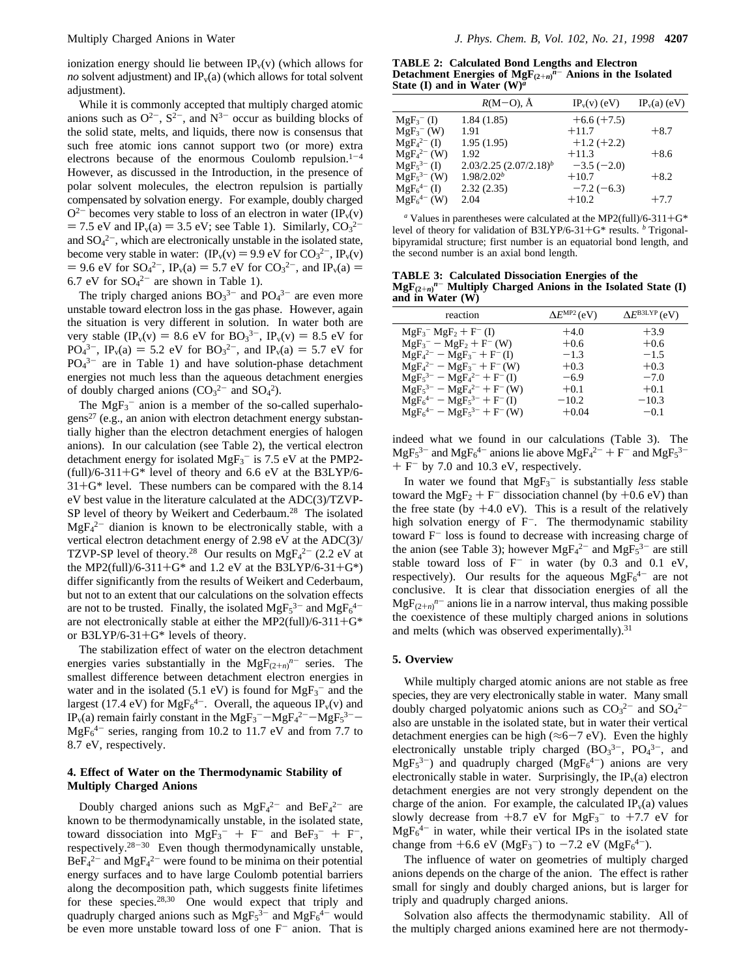ionization energy should lie between  $IP_v(v)$  (which allows for *no* solvent adjustment) and  $IP_v(a)$  (which allows for total solvent adjustment).

While it is commonly accepted that multiply charged atomic anions such as  $O^{2-}$ ,  $S^{2-}$ , and  $N^{3-}$  occur as building blocks of the solid state, melts, and liquids, there now is consensus that such free atomic ions cannot support two (or more) extra electrons because of the enormous Coulomb repulsion. $1-4$ However, as discussed in the Introduction, in the presence of polar solvent molecules, the electron repulsion is partially compensated by solvation energy. For example, doubly charged  $Q^{2-}$  becomes very stable to loss of an electron in water (IP<sub>v</sub>(v)  $= 7.5$  eV and IP<sub>v</sub>(a)  $= 3.5$  eV; see Table 1). Similarly,  $CO_3^{2-}$ <br>and SO.<sup>2-</sup> which are electronically unstable in the isolated state and  $SO_4^2$ , which are electronically unstable in the isolated state, become very stable in water:  $(\text{IP}_v(v) = 9.9 \text{ eV} \text{ for } CO_3^{2-}, \text{IP}_v(v))$ <br>= 9.6 eV for  $SO_4^{2-}$ , IP.(a) = 5.7 eV for  $CO_2^{2-}$  and IP.(a) = = 9.6 eV for  $SO_4^{2-}$ ,  $IP_v(a) = 5.7$  eV for  $CO_3^{2-}$ , and  $IP_v(a) = 6.7$  eV for  $SO_4^{2-}$  are shown in Table 1) 6.7 eV for  $SO_4^2$  are shown in Table 1).

The triply charged anions  $BO_3^{3-}$  and  $PO_4^{3-}$  are even more unstable toward electron loss in the gas phase. However, again the situation is very different in solution. In water both are very stable  $(\text{IP}_v(v) = 8.6 \text{ eV} \text{ for } \text{BO}_3^{3-}, \text{IP}_v(v) = 8.5 \text{ eV} \text{ for } \text{PO}_3^{3-} \text{ IP}$  (a) = 5.2 eV for  $\text{RO}_3^{3-}$  and  $\text{IP}(a) = 5.7 \text{ eV} \text{ for } \text{PO}_3^{3-}$  $PQ_4^{3-}$ ,  $IP_v(a) = 5.2$  eV for  $BQ_3^{2-}$ , and  $IP_v(a) = 5.7$  eV for  $PQ_4^{3-}$  are in Table 1) and have solution-phase detachment  $PO<sub>4</sub><sup>3-</sup>$  are in Table 1) and have solution-phase detachment energies not much less than the aqueous detachment energies of doubly charged anions  $(CO_3^{2-}$  and  $SO_4^2)$ .

The  $MgF_3^-$  anion is a member of the so-called superhalogens<sup>27</sup> (e.g., an anion with electron detachment energy substantially higher than the electron detachment energies of halogen anions). In our calculation (see Table 2), the vertical electron detachment energy for isolated  $MgF_3$ <sup>-</sup> is 7.5 eV at the PMP2- $(full)/6-311+G*$  level of theory and 6.6 eV at the B3LYP/6- $31 + G^*$  level. These numbers can be compared with the 8.14 eV best value in the literature calculated at the ADC(3)/TZVP-SP level of theory by Weikert and Cederbaum.<sup>28</sup> The isolated  $MgF<sub>4</sub><sup>2-</sup>$  dianion is known to be electronically stable, with a vertical electron detachment energy of 2.98 eV at the ADC(3)/ TZVP-SP level of theory.<sup>28</sup> Our results on  $MgF_4^{2-}$  (2.2 eV at the MP2(full)/6-311+G\* and 1.2 eV at the B3LYP/6-31+G\*) differ significantly from the results of Weikert and Cederbaum, but not to an extent that our calculations on the solvation effects are not to be trusted. Finally, the isolated  $MgF_5^{3-}$  and  $MgF_6^{4-}$ are not electronically stable at either the MP2(full)/6-311+ $G^*$ or B3LYP/6-31+ $G^*$  levels of theory.

The stabilization effect of water on the electron detachment energies varies substantially in the  $MgF_{(2+n)}^n$  series. The smallest difference between detachment electron energies in water and in the isolated (5.1 eV) is found for  $MgF_3^-$  and the largest (17.4 eV) for  $MgF_6^{4-}$ . Overall, the aqueous  $IP_v(v)$  and IP<sub>v</sub>(a) remain fairly constant in the MgF<sub>3</sub><sup>--</sup>-MgF<sub>4</sub><sup>2-</sup>-MgF<sub>5</sub><sup>3-</sup>-<br>MgF<sub>4</sub><sup>-</sup> series, ranging from 10.2 to 11.7 eV and from 7.7 to  $MgF<sub>6</sub><sup>4-</sup>$  series, ranging from 10.2 to 11.7 eV and from 7.7 to 8.7 eV, respectively.

## **4. Effect of Water on the Thermodynamic Stability of Multiply Charged Anions**

Doubly charged anions such as  $MgF_4^{2-}$  and  $BeF_4^{2-}$  are known to be thermodynamically unstable, in the isolated state, toward dissociation into  $MgF_3^- + F^-$  and  $BeF_3^- + F^-$ ,<br>respectively  $28-30$ . Even though thermodynamically unstable respectively. $28-30$  Even though thermodynamically unstable,  $BeF_4^2$  and  $MgF_4^2$  were found to be minima on their potential energy surfaces and to have large Coulomb potential barriers along the decomposition path, which suggests finite lifetimes for these species.28,30 One would expect that triply and quadruply charged anions such as  $MgF_5^{3-}$  and  $MgF_6^{4-}$  would be even more unstable toward loss of one  $F^-$  anion. That is

**TABLE 2: Calculated Bond Lengths and Electron Detachment Energies of MgF** $_{(2+n)}$ <sup> $\overline{n}$ - **Anions in the Isolated**<br>State (I) and in Water (W)<sup>a</sup></sup> **State (I) and in Water (W)***<sup>a</sup>*

|                          | $R(M-O)$ , $\AA$            | $IP_v(v)$ (eV) | $IP_v(a)$ (eV) |
|--------------------------|-----------------------------|----------------|----------------|
| $MgF_3^- (I)$            | 1.84(1.85)                  | $+6.6 (+7.5)$  | $+8.7$         |
| $MgF_3$ <sup>-</sup> (W) | 1.91                        | $+11.7$        |                |
| $MgF_4^{2-} (I)$         | 1.95(1.95)                  | $+1.2 (+2.2)$  |                |
| $MgF_4^{2-}$ (W)         | 1.92                        | $+11.3$        | $+8.6$         |
| $MgF_5^{3-} (I)$         | $2.03/2.25$ $(2.07/2.18)^b$ | $-3.5(-2.0)$   |                |
| $MgF_5^{3-}$ (W)         | 1.98/2.02 <sup>b</sup>      | $+10.7$        | $+8.2$         |
| $MgF_6^{4-} (I)$         | 2.32(2.35)                  | $-7.2(-6.3)$   |                |
| $MgF_6^{4-}$ (W)         | 2.04                        | $+10.2$        | $+7.7$         |

<sup>*a*</sup> Values in parentheses were calculated at the MP2(full)/6-311+ $G^*$ level of theory for validation of B3LYP/6-31+G\* results. *<sup>b</sup>* Trigonalbipyramidal structure; first number is an equatorial bond length, and the second number is an axial bond length.

**TABLE 3: Calculated Dissociation Energies of the**  $MgF_{(2+n)}^n$  Multiply Charged Anions in the Isolated State (I)<br>and in Water (W) **and in Water (W)**

| reaction                                          | $\Delta E^{\text{MP2}}$ (eV) | $\Delta E^{\text{BJLYP}}$ (eV) |
|---------------------------------------------------|------------------------------|--------------------------------|
| $MgF_3$ <sup>-</sup> $MgF_2$ + F <sup>-</sup> (I) | $+4.0$                       | $+3.9$                         |
| $MgF_3^- - MgF_2 + F^-$ (W)                       | $+0.6$                       | $+0.6$                         |
| $MgF_4^{2-} - MgF_3^- + F^{-}(I)$                 | $-1.3$                       | $-1.5$                         |
| $MgF_4^{2-} - MgF_3^- + F^-(W)$                   | $+0.3$                       | $+0.3$                         |
| $MgF_5^{3-} - MgF_4^{2-} + F^{-}(I)$              | $-6.9$                       | $-7.0$                         |
| $MgF_5^{3-} - MgF_4^{2-} + F^{-}(W)$              | $+0.1$                       | $+0.1$                         |
| $MgF_6^{4-} - MgF_5^{3-} + F^{-}(I)$              | $-10.2$                      | $-10.3$                        |
| $MgF_6^{4-} - MgF_5^{3-} + F^{-}(W)$              | $+0.04$                      | $-0.1$                         |
|                                                   |                              |                                |

indeed what we found in our calculations (Table 3). The MgF<sub>5</sub><sup>3-</sup> and MgF<sub>6</sub><sup>4-</sup> anions lie above MgF<sub>4</sub><sup>2-</sup> + F<sup>-</sup> and MgF<sub>5</sub><sup>3-</sup><br>+ F<sup>-</sup> by 7.0 and 10.3 eV respectively  $+ F^{-}$  by 7.0 and 10.3 eV, respectively.

In water we found that  $MgF_3$ <sup>-</sup> is substantially *less* stable toward the MgF<sub>2</sub> + F<sup>-</sup> dissociation channel (by +0.6 eV) than the free state (by  $+4.0$  eV). This is a result of the relatively high solvation energy of F<sup>-</sup>. The thermodynamic stability toward F<sup>-</sup> loss is found to decrease with increasing charge of the anion (see Table 3); however  $MgF_4^{2-}$  and  $MgF_5^{3-}$  are still stable toward loss of  $F^-$  in water (by 0.3 and 0.1 eV, respectively). Our results for the aqueous  $MgF_6^{4-}$  are not conclusive. It is clear that dissociation energies of all the  $MgF_{(2+n)}^{n-}$  anions lie in a narrow interval, thus making possible<br>the convictories of these multiply charged enjoys in solutions the coexistence of these multiply charged anions in solutions and melts (which was observed experimentally).<sup>31</sup>

#### **5. Overview**

While multiply charged atomic anions are not stable as free species, they are very electronically stable in water. Many small doubly charged polyatomic anions such as  $CO_3^2$  and  $SO_4^2$ also are unstable in the isolated state, but in water their vertical detachment energies can be high ( $\approx$ 6-7 eV). Even the highly electronically unstable triply charged ( $BO_3^{3-}$ ,  $PO_4^{3-}$ , and  $MgF_5^{3-}$ ) and quadruply charged ( $MgF_6^{4-}$ ) anions are very electronically stable in water. Surprisingly, the  $IP<sub>v</sub>(a)$  electron detachment energies are not very strongly dependent on the charge of the anion. For example, the calculated  $IP_v(a)$  values slowly decrease from  $+8.7$  eV for  $MgF_3^-$  to  $+7.7$  eV for  $MgF_4^-$  in water while their vertical IPs in the isolated state  $MgF<sub>6</sub><sup>4-</sup>$  in water, while their vertical IPs in the isolated state change from  $+6.6$  eV (MgF<sub>3</sub><sup>-</sup>) to  $-7.2$  eV (MgF<sub>6</sub><sup>4-</sup>).<br>The influence of water on geometries of multiply

The influence of water on geometries of multiply charged anions depends on the charge of the anion. The effect is rather small for singly and doubly charged anions, but is larger for triply and quadruply charged anions.

Solvation also affects the thermodynamic stability. All of the multiply charged anions examined here are not thermody